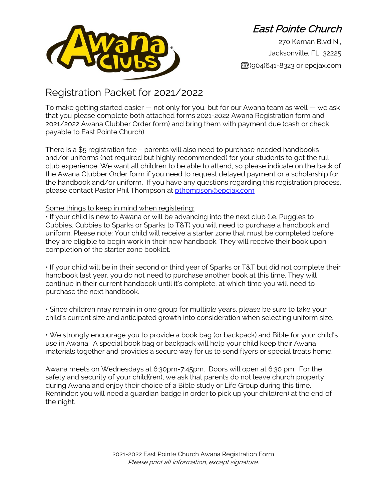

East Pointe Church

270 Kernan Blvd N., Jacksonville, FL 32225 ☎(904)641-8323 or epcjax.com

## Registration Packet for 2021/2022

To make getting started easier — not only for you, but for our Awana team as well — we ask that you please complete both attached forms 2021-2022 Awana Registration form and 2021/2022 Awana Clubber Order form) and bring them with payment due (cash or check payable to East Pointe Church).

There is a \$5 registration fee – parents will also need to purchase needed handbooks and/or uniforms (not required but highly recommended) for your students to get the full club experience. We want all children to be able to attend, so please indicate on the back of the Awana Clubber Order form if you need to request delayed payment or a scholarship for the handbook and/or uniform. If you have any questions regarding this registration process, please contact Pastor Phil Thompson at [pthompson@epcjax.com](mailto:pthompson@epcjax.com)

## Some things to keep in mind when registering:

• If your child is new to Awana or will be advancing into the next club (i.e. Puggles to Cubbies, Cubbies to Sparks or Sparks to T&T) you will need to purchase a handbook and uniform. Please note: Your child will receive a starter zone that must be completed before they are eligible to begin work in their new handbook. They will receive their book upon completion of the starter zone booklet.

• If your child will be in their second or third year of Sparks or T&T but did not complete their handbook last year, you do not need to purchase another book at this time. They will continue in their current handbook until it's complete, at which time you will need to purchase the next handbook.

• Since children may remain in one group for multiple years, please be sure to take your child's current size and anticipated growth into consideration when selecting uniform size.

• We strongly encourage you to provide a book bag (or backpack) and Bible for your child's use in Awana. A special book bag or backpack will help your child keep their Awana materials together and provides a secure way for us to send flyers or special treats home.

Awana meets on Wednesdays at 6:30pm-7:45pm. Doors will open at 6:30 pm. For the safety and security of your child(ren), we ask that parents do not leave church property during Awana and enjoy their choice of a Bible study or Life Group during this time. Reminder: you will need a guardian badge in order to pick up your child(ren) at the end of the night.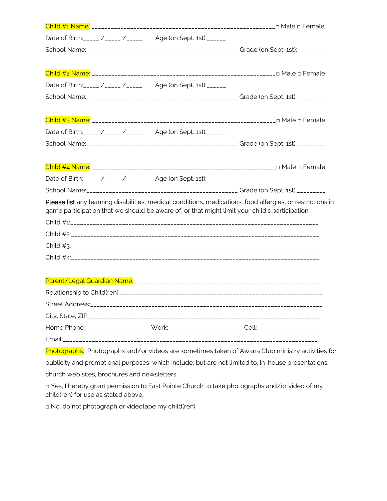|                                              | Date of Birth: _____ /_____ /_____ Age (on Sept. 1st): ______                                  |                                                                                                            |
|----------------------------------------------|------------------------------------------------------------------------------------------------|------------------------------------------------------------------------------------------------------------|
|                                              |                                                                                                |                                                                                                            |
|                                              |                                                                                                |                                                                                                            |
|                                              | Date of Birth: _____ /_____ /_____ Age (on Sept. 1st): ______                                  |                                                                                                            |
|                                              |                                                                                                |                                                                                                            |
|                                              |                                                                                                |                                                                                                            |
|                                              | Date of Birth: _____ /_____ /_____ Age (on Sept. 1st): ______                                  |                                                                                                            |
|                                              |                                                                                                |                                                                                                            |
|                                              |                                                                                                |                                                                                                            |
|                                              | Date of Birth: ____ /_____ /_____ Age (on Sept. 1st): _____                                    |                                                                                                            |
|                                              |                                                                                                |                                                                                                            |
|                                              | game participation that we should be aware of, or that might limit your child's participation: | Please list any learning disabilities, medical conditions, medications, food allergies, or restrictions in |
|                                              |                                                                                                |                                                                                                            |
|                                              |                                                                                                |                                                                                                            |
|                                              |                                                                                                |                                                                                                            |
|                                              |                                                                                                |                                                                                                            |
|                                              |                                                                                                |                                                                                                            |
|                                              |                                                                                                |                                                                                                            |
|                                              |                                                                                                |                                                                                                            |
|                                              |                                                                                                |                                                                                                            |
|                                              |                                                                                                | Home Phone:____________________ Work:______________________ Cell:_____________________                     |
|                                              |                                                                                                |                                                                                                            |
|                                              |                                                                                                | Photographs: Photographs and/or videos are sometimes taken of Awana Club ministry activities for           |
|                                              |                                                                                                | publicity and promotional purposes, which include, but are not limited to, in-house presentations,         |
| church web sites, brochures and newsletters. |                                                                                                |                                                                                                            |
|                                              |                                                                                                | □ Yes, I hereby grant permission to East Pointe Church to take photographs and/or video of my              |

child(ren) for use as stated above.

□ No, do not photograph or videotape my child(ren).